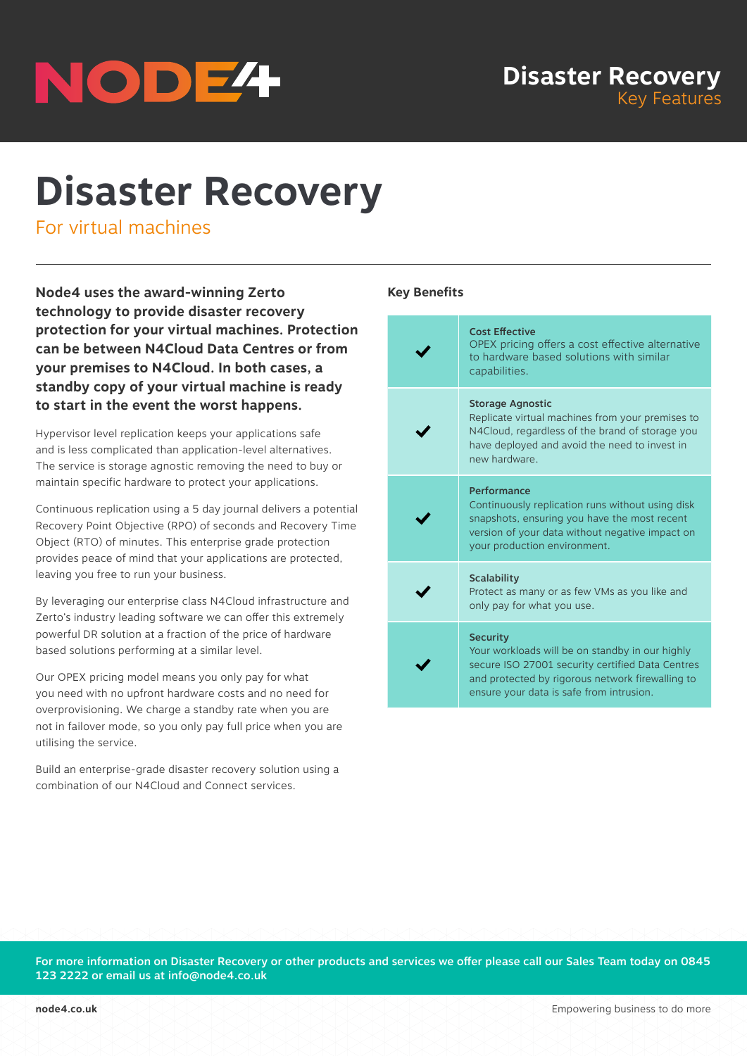

# **Disaster Recovery**

For virtual machines

**Node4 uses the award-winning Zerto technology to provide disaster recovery protection for your virtual machines. Protection can be between N4Cloud Data Centres or from your premises to N4Cloud. In both cases, a standby copy of your virtual machine is ready to start in the event the worst happens.**

Hypervisor level replication keeps your applications safe and is less complicated than application-level alternatives. The service is storage agnostic removing the need to buy or maintain specific hardware to protect your applications.

Continuous replication using a 5 day journal delivers a potential Recovery Point Objective (RPO) of seconds and Recovery Time Object (RTO) of minutes. This enterprise grade protection provides peace of mind that your applications are protected, leaving you free to run your business.

By leveraging our enterprise class N4Cloud infrastructure and Zerto's industry leading software we can offer this extremely powerful DR solution at a fraction of the price of hardware based solutions performing at a similar level.

Our OPEX pricing model means you only pay for what you need with no upfront hardware costs and no need for overprovisioning. We charge a standby rate when you are not in failover mode, so you only pay full price when you are utilising the service.

Build an enterprise-grade disaster recovery solution using a combination of our N4Cloud and Connect services.

# **Key Benefits**

| <b>Cost Effective</b><br>OPEX pricing offers a cost effective alternative<br>to hardware based solutions with similar<br>capabilities.                                                                                 |
|------------------------------------------------------------------------------------------------------------------------------------------------------------------------------------------------------------------------|
| <b>Storage Agnostic</b><br>Replicate virtual machines from your premises to<br>N4Cloud, regardless of the brand of storage you<br>have deployed and avoid the need to invest in<br>new hardware.                       |
| Performance<br>Continuously replication runs without using disk<br>snapshots, ensuring you have the most recent<br>version of your data without negative impact on<br>your production environment.                     |
| <b>Scalability</b><br>Protect as many or as few VMs as you like and<br>only pay for what you use.                                                                                                                      |
| <b>Security</b><br>Your workloads will be on standby in our highly<br>secure ISO 27001 security certified Data Centres<br>and protected by rigorous network firewalling to<br>ensure your data is safe from intrusion. |

For more information on Disaster Recovery or other products and services we offer please call our Sales Team today on 0845 123 2222 or email us at info@node4.co.uk